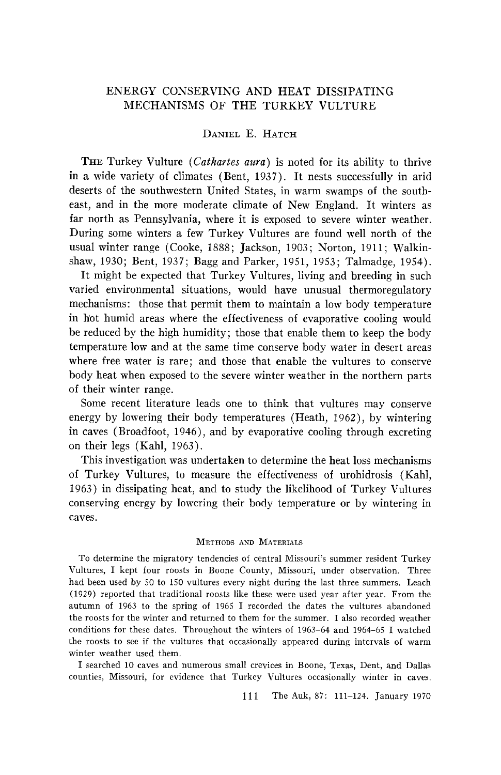# **ENERGY CONSERVING AND HEAT DISSIPATING MECHANISMS OF THE TURKEY VULTURE**

## **DANIEL E. HATCH**

THE Turkey Vulture (Cathartes aura) is noted for its ability to thrive **in a wide variety of climates (Bent, 1937). It nests successfully in arid deserts of the southwestern United States, in warm swamps of the southeast, and in the more moderate climate of New England. It winters as far north as Pennsylvania, where it is exposed to severe winter weather. During some winters a few Turkey Vultures are found well north of the**  usual winter range (Cooke, 1888; Jackson, 1903; Norton, 1911; Walkin**shaw, 1930; Bent, 1937; Bagg and Parker, 1951, 1953; Talmadge, 1954).** 

**It might be expected that Turkey Vultures, living and breeding in such varied environmental situations, would have unusual thermoregulatory mechanisms: those that permit them to maintain a low body temperature in hot humid areas where the effectiveness of evaporative cooling would be reduced by the high humidity; those that enable them to keep the body temperature low and at the same time conserve body water in desert areas where free water is rare; and those that enable the vultures to conserve**  body heat when exposed to the severe winter weather in the northern parts **of their winter range.** 

**Some recent literature leads one to think that vultures may conserve energy by lowering their body temperatures (Heath, 1962), by wintering in caves (Broadfoot, 1946), and by evaporative cooling through excreting on their legs (Kahl, 1963).** 

**This investigation was undertaken to determine the heat loss mechanisms of Turkey Vultures, to measure the effectiveness of urohidrosis (Kahl, 1963) in dissipating heat, and to study the likelihood of Turkey Vultures conserving energy by lowering their body temperature or by wintering in caves.** 

#### **METHODS AND MATERIALS**

**TO determine the migratory tendencies of central Missouri's summer resident Turkey Vultures, I kept four roosts in Boone County, Missouri, under observation. Three had been used by 50 to 150 vultures every night during the last three summers. Leach (1929) reported that traditional roosts like these were used year after year. From the autumn of 1963 to the spring of 1965 I recorded the dates the vultures abandoned**  the roosts for the winter and returned to them for the summer. I also recorded weather **conditions for these dates. Throughout the winters of 1963-64 and 1964-65 I watched the roosts to see if the vultures that occasionally appeared during intervals of warm winter weather used them.** 

**I searched lO caves and numerous small crevices in Boone, Texas, Dent, and Dallas counties, Missouri, for evidence that Turkey Vultures occasionally winter in caves.** 

**111 The Auk, 87: 111-124. January 1970**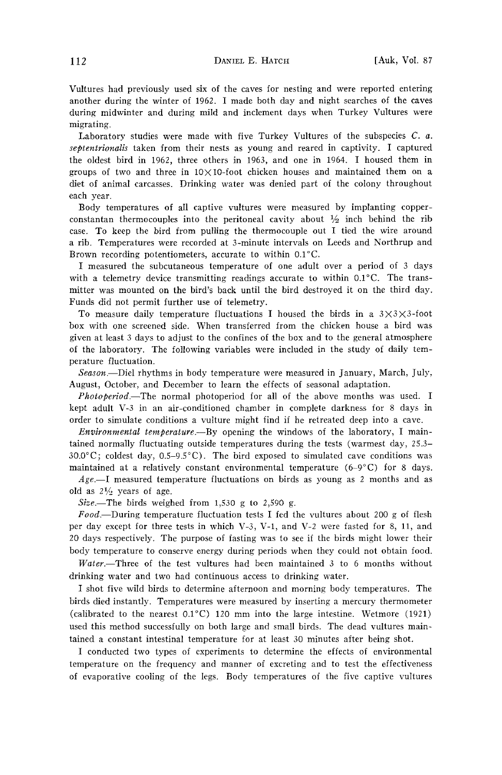**Vultures had previously used six of the caves for nesting and were reported entering another during the winter of 1962. I made both day and night searches of the caves during midwinter and during mild and inclement days when Turkey Vultures were migrating.** 

Laboratory studies were made with five Turkey Vultures of the subspecies C. a. septentrionalis taken from their nests as young and reared in captivity. I captured **the oldest bird in 1962, three others in 1963, and one in 1964. I housed them in groups of two and three in 10X10-foot chicken houses and maintained them on a diet of animal carcasses. Drinking water was denied part of the colony throughout each year.** 

**Body temperatures of all captive vultures were measured by implanting copper**constantan thermocouples into the peritoneal cavity about  $\frac{1}{2}$  inch behind the rib **case. To keep the bird from pulling the thermocouple out I tied the wire around a rib. Temperatures were recorded at 3-minute intervals on Leeds and Northrup and**  Brown recording potentiometers, accurate to within 0.1°C.

**I measured the subcutaneous temperature of one adult over a period of 3 days**  with a telemetry device transmitting readings accurate to within 0.1<sup>°</sup>C. The trans**mitter was mounted on the bird's back until the bird destroyed it on the third day. Funds did not permit further use of telemetry.** 

To measure daily temperature fluctuations I housed the birds in a  $3\times3\times3\times3$ -foot **box with one screened side. When transferred from the chicken house a bird was given at least 3 days to adjust to the confines of the box and to the general atmosphere of the laboratory. The following variables were included in the study of daily temperature fluctuation.** 

Season.--Diel rhythms in body temperature were measured in January, March, July, **August, October, and December to learn the effects of seasonal adaptation.** 

**Photoperiod.**-The normal photoperiod for all of the above months was used. I **kept adult V-3 in an air-conditioned chamber in complete darkness for 8 days in order to simulate conditions a vulture might find if he retreated deep into a cave.** 

**Environmental temperature.**—By opening the windows of the laboratory, I main**tained normally fluctuating outside temperatures during the tests (warmest day, 25.3- 30.0øC; coldest day, 0.5-9.5øC). The bird exposed to simulated cave conditions was maintained at a relatively constant environmental temperature (6-9øC) for 8 days.** 

**Age.--I measured temperature fluctuations on birds as young as 2 months and as**  old as  $2\frac{1}{2}$  years of age.

**Size.--The birds weighed from 1,530 g to 2,590 g.** 

**Food.--During temperature fluctuation tests I fed the vultures about 200 g of flesh per day except for three tests in which V-3, V-I, and V-2 were fasted for 8, 11, and 20 days respectively. The purpose of fasting was to see if the birds might lower their body temperature to conserve energy during periods when they could not obtain food.** 

Water.--Three of the test vultures had been maintained 3 to 6 months without **drinking water and two had continuous access to drinking water.** 

**I shot five wild birds to determine afternoon and morning body temperatures. The birds died instantly. Temperatures were measured by inserting a mercury thermometer**  (calibrated to the nearest  $0.1^{\circ}$ C) 120 mm into the large intestine. Wetmore (1921) **used this method successfully on both large and small birds. The dead vultures maintained a constant intestinal temperature for at least 30 minutes after being shot.** 

**I conducted two types of experiments to determine the effects of environmental temperature on the frequency and manner of excreting and to test the effectiveness of evaporative cooling of the legs. Body temperatures of the five captive vultures**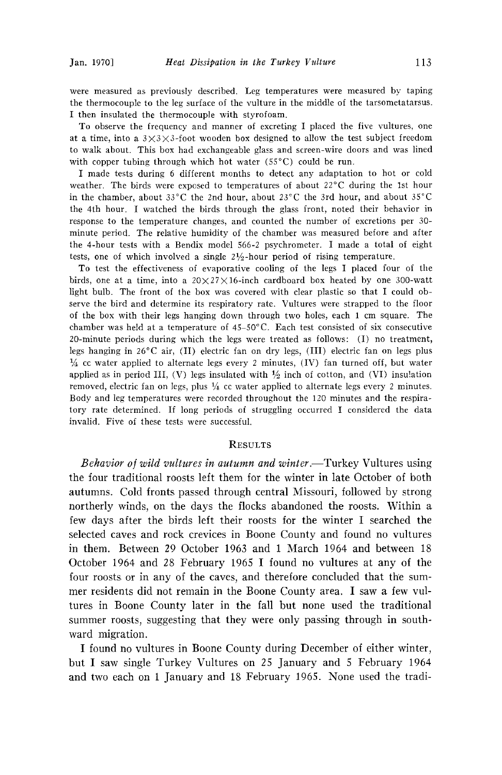**were measured as previously described. Leg temperatures were measured by taping the thermocouple to the leg surface of the vulture in the middle of the tarsometatarsus. I then insulated the thermocouple with styrofoam.** 

**To observe the frequency and manner of excreting I placed the five vultures, one at a time, into a 3X3X3-foot wooden box designed to allow the test subject freedom to walk about. This box had exchangeable glass and screen-wire doors and was lined**  with copper tubing through which hot water (55<sup>°</sup>C) could be run.

**I made tests during 6 different months to detect any adaptation to hot or cold**  weather. The birds were exposed to temperatures of about 22°C during the 1st hour in the chamber, about  $33^{\circ}$ C the 2nd hour, about  $23^{\circ}$ C the 3rd hour, and about  $35^{\circ}$ C **the 4th hour. I watched the birds through the glass front, noted their behavior in response to the temperature changes, and counted the number of excretions per 30 minute period. The relative humidity of the chamber was measured before and after the 4-hour tests with a Bendix model 566-2 psychrometer. I made a total of eight tests, one of which involved a single 21/2-hour period of rising temperature.** 

**To test the effectiveness of evaporative cooling of the legs I placed four of the**  birds, one at a time, into a  $20\times27\times16$ -inch cardboard box heated by one 300-watt **light bulb. The front of the box was covered with clear plastic so that I could observe the bird and determine its respiratory rate. Vultures were strapped to the floor of the box with their legs hanging down through two holes, each 1 cm square. The chamber was held at a temperature of 45-50øC. Each test consisted of six consecutive 20-minute periods during which the legs were treated as follows: (I) no treatment,**  legs hanging in 26°C air, (II) electric fan on dry legs, (III) electric fan on legs plus **• cc water applied to alternate legs every 2 minutes, (IV) fan turned off, but water**  applied as in period III,  $(V)$  legs insulated with  $\frac{1}{2}$  inch of cotton, and  $(VI)$  insulation removed, electric fan on legs, plus  $\frac{1}{4}$  cc water applied to alternate legs every 2 minutes. **Body and leg temperatures were recorded throughout the 120 minutes and the respiratory rate determined. If long periods of struggling occurred I considered the data invalid. Five of these tests were successful.** 

#### **RESULTS**

**Behavior** of wild vultures in autumn and winter.—Turkey Vultures using **the four traditional roosts left them for the winter in late October of both autumns. Cold fronts passed through central Missouri, followed by strong northerly winds, on the days the flocks abandoned the roosts. Within a few days after the birds left their roosts for the winter I searched the selected caves and rock crevices in Boone County and found no vultures in them. Between 29 October 1963 and 1 March 1964 and between 18 October 1964 and 28 February 1965 I found no vultures at any of the**  four roosts or in any of the caves, and therefore concluded that the sum**mer residents did not remain in the Boone County area. I saw a few vultures in Boone County later in the fall but none used the traditional summer roosts, suggesting that they were only passing through in southward migration.** 

**I found no vultures in Boone County during December of either winter, but I saw single Turkey Vultures on 25 January and 5 February 1964 and two each on 1 January and 18 February 1965. None used the tradi-**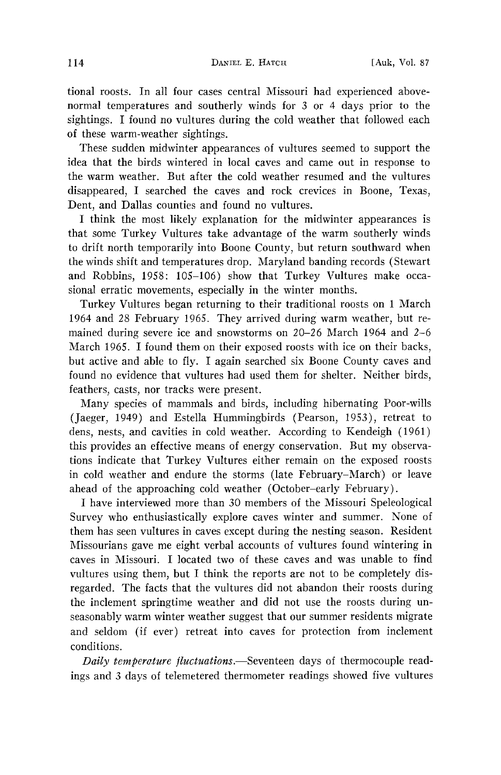**tional roosts. In all four cases central Missouri had experienced abovenormal temperatures and southerly winds for 3 or 4 days prior to the sightings. I found no vultures during the cold weather that followed each of these warm-weather sightings.** 

**These sudden midwinter appearances of vultures seemed to support the idea that the birds wintered in local caves and came out in response to**  the warm weather. But after the cold weather resumed and the vultures disappeared, I searched the caves and rock crevices in Boone, Texas, **Dent, and Dallas counties and found no vultures.** 

**I think the most likely explanation for the midwinter appearances is that some Turkey Vultures take advantage of the warm southerly winds to drift north temporarily into Boone County, but return southward when the winds shift and temperatures drop. Maryland banding records (Stewart and Robbins, 1958: 105-106) show that Turkey Vultures make occasional erratic movements, especially in the winter months.** 

**Turkey Vultures began returning to their traditional roosts on 1 March 1964 and 28 February 1965. They arrived during warm weather, but remained during severe ice and snowstorms on 20-26 March 1964 and 2-6 March 1965. I found them on their exposed roosts with ice on their backs, but active and able to fly. I again searched six Boone County caves and found no evidence that vultures had used them for shelter. Neither birds, feathers, casts, nor tracks were present.** 

**Many species of mammals and birds, including hibernating Poor-wills (Jaeger, 1949) and Estella Hummingbirds (Pearson, 1953), retreat to dens, nests, and cavities in cold weather. According to Kendeigh (1961) this provides an effective means of energy conservation. But my observations indicate that Turkey Vultures either remain on the exposed roosts in cold weather and endure the storms (late February-March) or leave ahead of the approaching cold weather (October-early February).** 

**I have interviewed more than 30 members of the Missouri Speleological Survey who enthusiastically explore caves winter and summer. None of them has seen vultures in caves except during the nesting season. Resident Missourians gave me eight verbal accounts of vultures found wintering in caves in Missouri. I located two of these caves and was unable to find vultures using them, but I think the reports are not to be completely disregarded. The facts that the vultures did not abandon their roosts during the inclement springtime weather and did not use the roosts during unseasonably warm winter weather suggest that our summer residents migrate and seldom (if ever) retreat into caves for protection from inclement conditions.** 

Daily temperature fluctuations.-Seventeen days of thermocouple readings and 3 days of telemetered thermometer readings showed five vultures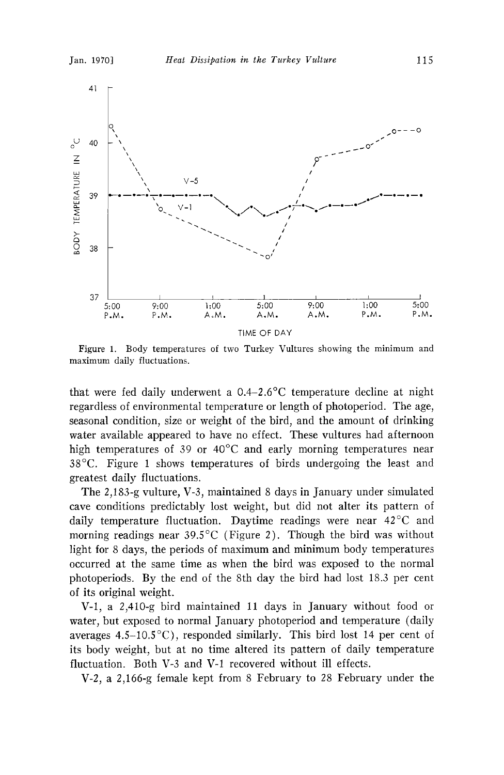

**Figure 1. Body temperatures of two Turkey Vultures showing the minimum and maximum daily fluctuations.** 

**that were fed daily underwent a 0.4-2.6øC temperature decline at night regardless of environmental temperature or length of photoperiod. The age, seasonal condition, size or weight of the bird, and the amount of drinking water available appeared to have no effect. These vultures had afternoon**  high temperatures of 39 or 40<sup>o</sup>C and early morning temperatures near **38øC. Figure 1 shows temperatures of birds undergoing the least and greatest daily fluctuations.** 

**The 2,183-g vulture, V-3, maintained 8 days in January under simulated cave conditions predictably lost weight, but did not alter its pattern of**  daily temperature fluctuation. Daytime readings were near 42°C and morning readings near 39.5°C (Figure 2). Though the bird was without **light for 8 days, the periods of maximum and minimum body temperatures occurred at the same time as when the bird was exposed to the normal photoperiods. By the end of the 8th day the bird had lost 18.3 per cent of its original weight.** 

**V-l, a 2,410-g bird maintained 11 days. in January without food or water, but exposed to normal January photoperiod and temperature (daily averages 4.5-10.5øC), responded similarly. This bird lost 14 per cent of its body weight, but at no time altered its pattern of daily temperature fluctuation. Both V-3 and V-1 recovered without ill effects.** 

**V-2, a 2,166-g female kept from 8 February to 28 February under the**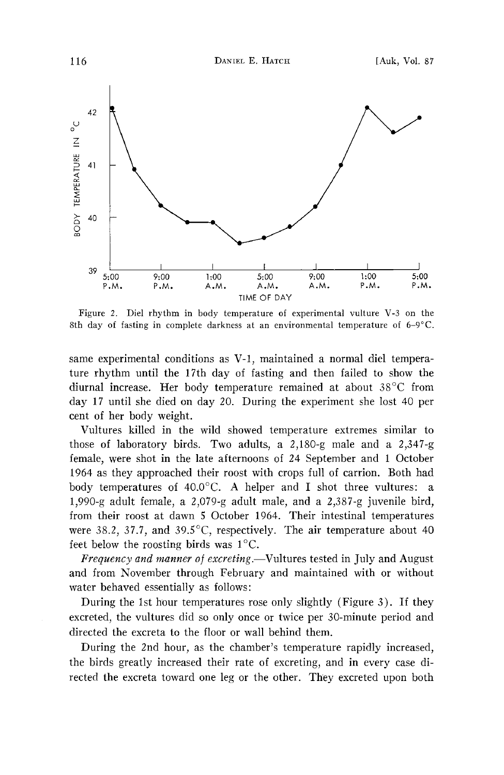

**Figure 2. Diel rhythm in body temperature of experimental vulture V-3 on the 8th day of fasting in complete darkness at an environmental temperature of 6-9øC.** 

**same experimental conditions as V-l, maintained a normal diel temperature rhythm until the 17th day of fasting and then failed to show the**  diurnal increase. Her body temperature remained at about 38<sup>°</sup>C from **day 17 until she died on day 20. During the experiment she lost 40 per cent of her body weight.** 

**Vultures killed in the wild showed temperature extremes similar to those of laboratory birds. Two adults, a 2,180-g male and a 2,347-g female, were shot in the late afternoons of 24 September and 1 October 1964 as they approached their roost with crops full of carrion. Both had**  body temperatures of 40.0°C. A helper and I shot three vultures: a **1,990-g adult female, a 2,079-g adult male, and a 2,387-g juvenile bird, from their roost at dawn 5 October 1964. Their intestinal temperatures**  were 38.2, 37.7, and 39.5°C, respectively. The air temperature about 40 feet below the roosting birds was  $1^{\circ}$ C.

Frequency and manner of excreting.—Vultures tested in July and August **and from November through February and maintained with or without water behaved essentially as follows:** 

**During the 1st hour temperatures rose only slightly (Figure 3). If they excreted, the vultures did so only once or twice per 30-minute period and directed the excreta to the floor or wall behind them.** 

**During the 2nd hour, as the chamber's temperature rapidly increased, the birds greatly increased their rate of excreting, and in every case directed the excreta toward one leg or the other. They excreted upon both**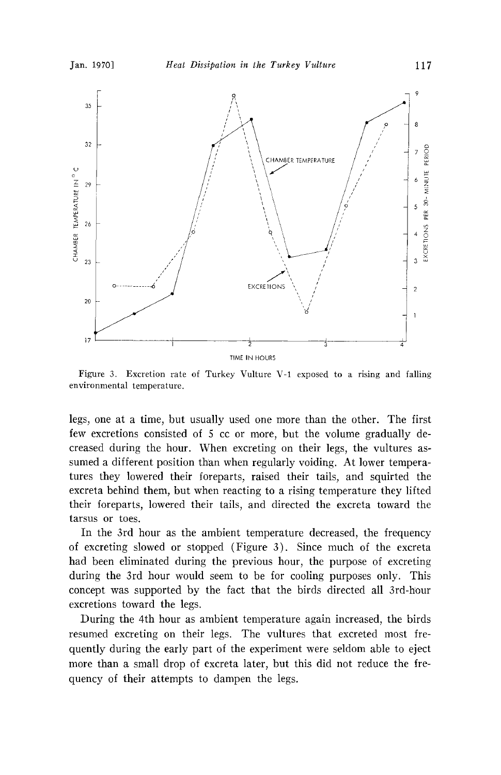

**Figure 3. Excretion rate of Turkey Vulture V-1 exposed to a rising and falling environmental temperature.** 

**legs, one at a time, but usually used one more than the other. The first few excretions consisted of 5 cc or more, but the volume gradually decreased during the hour. When excreting on their legs, the vultures assumed a different position than when regularly voiding. At lower temperatures they lowered their foreparts, raised their tails, and squirted the excreta behind them, but when reacting to a rising temperature they lifted their foreparts, lowered their tails, and directed the excreta toward the tarsus or toes.** 

**In the 3rd hour as the ambient temperature decreased, the frequency of excreting slowed or stopped (Figure 3). Since much of the excreta had been eliminated during the previous hour, the purpose of excreting during the 3rd hour would seem to be for cooling purposes only. This concept was supported by the fact that the birds directed all 3rd-hour excretions toward the legs.** 

**During the 4th hour as ambient temperature again increased, the birds resumed excreting on their legs. The vultures that excreted most frequently during the early part of the experiment were seldom able to eject more than a small drop of excreta later, but this did not reduce the frequency of their attempts to dampen the legs.**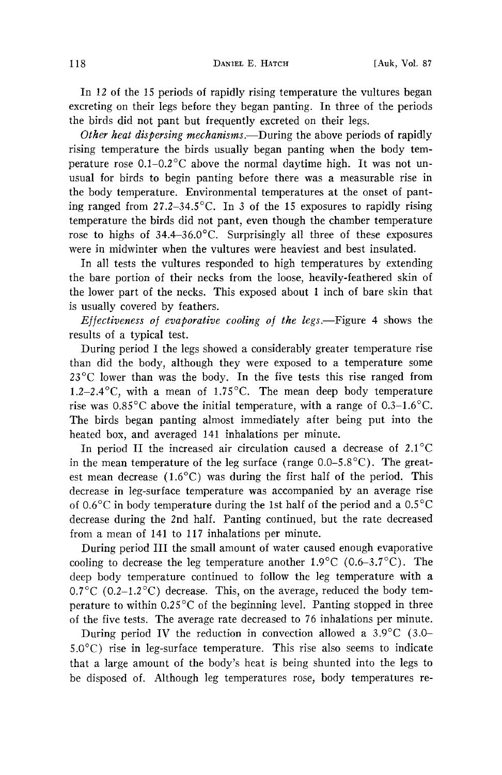**In 12 of the 15 periods of rapidly rising temperature the vultures began excreting on their legs before they began panting. In three of the periods the birds did not pant but frequently excreted on their legs.** 

Other heat dispersing mechanisms.—During the above periods of rapidly **rising temperature the birds usually began panting when the body tem**perature rose 0.1–0.2<sup>o</sup>C above the normal daytime high. It was not un**usual for birds to begin panting before there was a measurable rise in the body temperature. Environmental temperatures at the onset of panting ranged from 27.2-34.5øC. In 3 of the 15 exposures to rapidly rising temperature the birds did not pant, even though the chamber temperature**  rose to highs of 34.4–36.0°C. Surprisingly all three of these exposures **were in midwinter when the vultures were heaviest and best insulated.** 

**In all tests the vultures responded to high temperatures by extending the bare portion of their necks from the loose, heavily-feathered skin of the lower part of the necks. This exposed about 1 inch of bare skin that is usually covered by feathers.** 

Effectiveness of evaporative cooling of the legs.—Figure 4 shows the **results of a typical test.** 

**During period I the legs showed a considerably greater temperature rise than did the body, although they were exposed to a temperature some 23øC lower than was the body. In the five tests this rise ranged from 1.2-2.4øC, with a mean of 1.75øC. The mean deep body temperature**  rise was  $0.85^{\circ}$ C above the initial temperature, with a range of  $0.3-1.6^{\circ}$ C. **The birds began panting almost immediately after being put into the heated box, and averaged 141 inhalations per minute.** 

**In period II the increased air circulation caused a decrease of 2.1øC**  in the mean temperature of the leg surface (range 0.0–5.8<sup>°</sup>C). The greatest mean decrease (1.6<sup>o</sup>C) was during the first half of the period. This **decrease in leg-surface temperature was accompanied by an average rise of 0.6øC in body temperature during the 1st half of the period and a 0.5øC decrease during the 2nd half. Panting continued, but the rate decreased from a mean of 141 to 117 inhalations per minute.** 

**During period III the small amount of water caused enough evaporative**  cooling to decrease the leg temperature another  $1.9^{\circ}$ C (0.6–3.7<sup>o</sup>C). The **deep body temperature continued to follow the leg temperature with a**  0.7<sup>o</sup>C (0.2–1.2<sup>o</sup>C) decrease. This, on the average, reduced the body tem**perature to within 0.25<sup>o</sup>C of the beginning level. Panting stopped in three of the five tests. The average rate decreased to 76 inhalations per minute.** 

During period IV the reduction in convection allowed a 3.9°C (3.0-**5.0øC) rise in leg-surface temperature. This rise also seems to indicate that a large amount of the body's heat is being shunted into the legs to be disposed of. Although leg temperatures rose, body temperatures re-**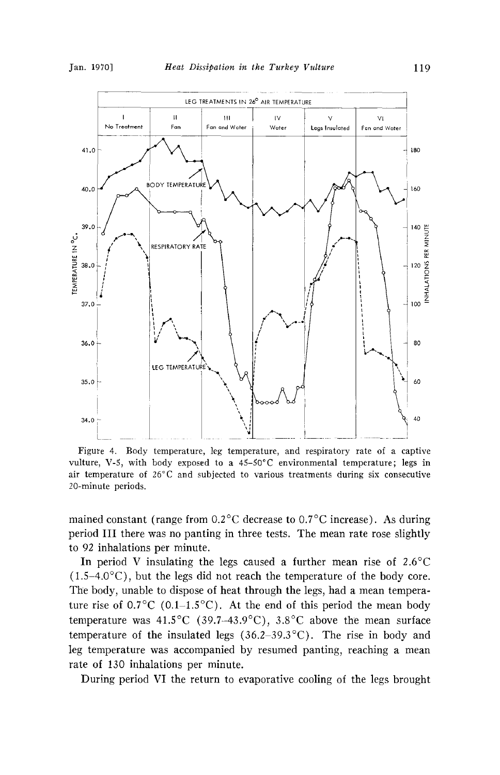

**Figure 4. Body temperature, leg temperature, and respiratory rate of a captive**  vulture, V-5, with body exposed to a 45-50°C environmental temperature; legs in **air temperature of 26øC and subjected to various treatments during six consecutive 20-minute periods.** 

mained constant (range from 0.2<sup>o</sup>C decrease to 0.7<sup>o</sup>C increase). As during **period III there was no panting in three tests. The mean rate rose slightly to 92 inhalations per minute.** 

In period V insulating the legs caused a further mean rise of 2.6<sup>o</sup>C  $(1.5-4.0\degree C)$ , but the legs did not reach the temperature of the body core. **The body, unable to dispose of heat through the legs, had a mean tempera**ture rise of  $0.7^{\circ}$ C (0.1–1.5<sup> $\circ$ </sup>C). At the end of this period the mean body temperature was  $41.5^{\circ}$ C (39.7-43.9<sup>°</sup>C), 3.8<sup>°</sup>C above the mean surface **temperature of the insulated legs (36.2–39.3°C).** The rise in body and **leg temperature was accompanied by resumed panting, reaching a mean rate of 130 inhalations per minute.** 

**During period VI the return to evaporative cooling of the legs brought**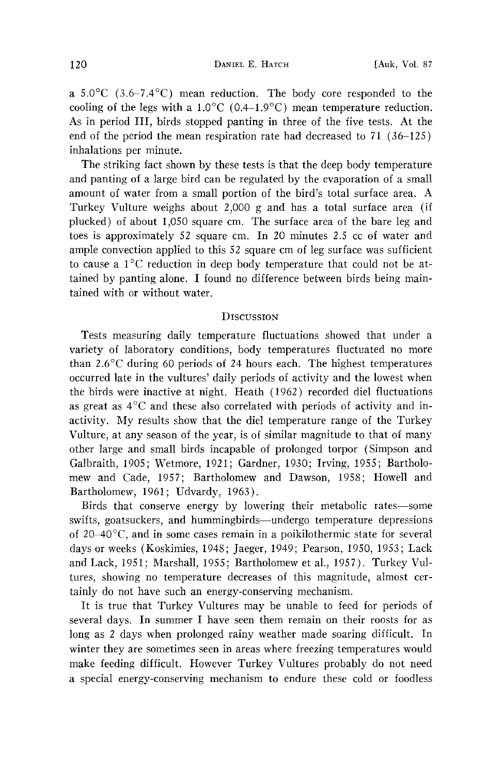**a**  $5.0^{\circ}$ C (3.6-7.4 $^{\circ}$ C) mean reduction. The body core responded to the cooling of the legs with a  $1.0^{\circ}$ C (0.4-1.9<sup>o</sup>C) mean temperature reduction. **As. in period III, birds stopped panting in three of the five tests. At the end of the period the mean respiration rate had decreased to 71 (36-125) inhalations per minute.** 

**The striking fact shown by these tests is that the deep body temperature and panting of a large bird can be regulated by the evaporation of a small amount of water from a small portion of the bird's total surface area. A Turkey Vulture weighs about 2,000 g and has a total surface area (if plucked) of about 1,050 square cm. The surface area of the bare leg and toes is approximately 52 square cm. In 20 minutes 2.5 cc of water and ample convection applied to this 52 square cm of leg surface was sufficient**  to cause a 1<sup>°</sup>C reduction in deep body temperature that could not be at**tained by panting alone. I found no difference between birds being maintained with or without water.** 

### **DISCUSSION**

**Tests measuring daily temperature fluctuations showed that under a variety of laboratory conditions, body temperatures fluctuated no more than 2.6øC during 60 periods of 24 hours each. The highest temperatures occurred late in the vultures' daily periods of activity and the lowest when the birds were inactive at night. Heath (1962) recorded diel fluctuations as great as 4øC and these also correlated with periods of activity and inactivity. My results show that the diel temperature range of the Turkey Vulture, at any season of the year, is of similar magnitude to that of many other large and small birds incapable of prolonged torpor (Simpson and Galbraith, 1905; Wetmore, 1921; Gardner, 1930; Irving, 1955; Bartholomew and Cade, 1957; Bartholomew and Dawson, 1958; Howell and Bartholomew, 1961; Udvardy, 1963).** 

**Birds that conserve energy by lowering their metabolic rates--some**  swifts, goatsuckers, and hummingbirds—undergo temperature depressions of 20–40°C, and in some cases remain in a poikilothermic state for several **days or weeks (Koskimies, 1948; Jaeger, 1949; Pearson, 1950, 1953; Lack and Lack, 1951; Marshall, 1955; Bartholomew et al., 1957). Turkey Vultures, showing no temperature decreases of this magnitude, almost certainly do not have such an energy-conserving mechanism.** 

**It is true that Turkey Vultures may be unable to feed for periods of several days. In summer I have seen them remain on their roosts for as long as 2 days when prolonged rainy weather made soaring difficult. In**  winter they are sometimes seen in areas where freezing temperatures would **make feeding difficult. However Turkey Vultures probably do not need a special energy-conserving mechanism to endure these cold or foodless**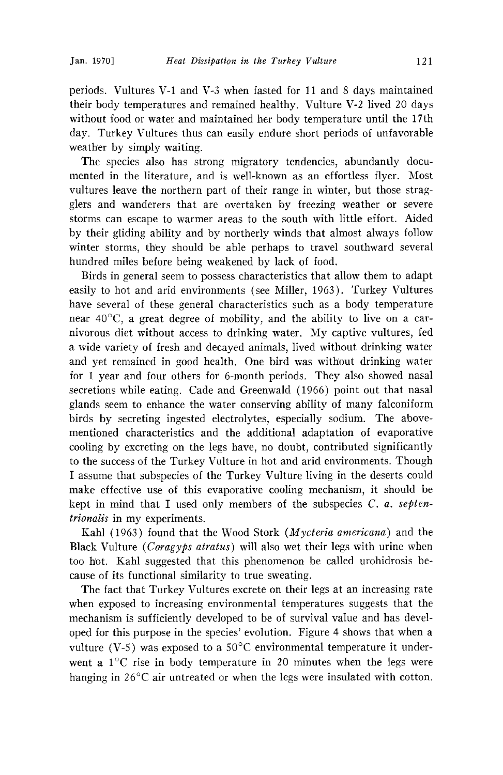**periods. Vultures V-1 and V-3 when fasted for 11 and 8 days maintained their body temperatures and remained healthy. Vulture V-2 lived 20 days without food or water and maintained her body temperature until the 17th day. Turkey Vultures thus can easily endure short periods of unfavorable**  weather by simply waiting.

**The species also has strong migratory tendencies, abundantly documented in the literature, and is well-known as an effortless flyer. Most vultures leave the northern part of their range in winter, but those stragglers and wanderers that are overtaken by freezing weather or severe storms can escape to warmer areas to the south with little effort. Aided by their gliding ability and by northerly winds that almost always follow winter storms, they should be able perhaps to travel southward several hundred miles before being weakened by lack of food.** 

**Birds in general seem to possess characteristics that allow them to adapt easily to hot and arid environments (see Miller, 1963). Turkey Vultures have several of these general characteristics such as a body temperature**  near 40°C, a great degree of mobility, and the ability to live on a car**nivorous diet without access to drinking water. My captive vultures, fed a wide variety of fresh and decayed animals, lived without drinking water and yet remained in good health. One bird was without drinking water for 1 year and four others for 6-month periods. They also showed nasal secretions while eating. Cade and Greenwald (1966) point out that nasal glands seem to enhance the water conserving ability of many falconiform birds by secreting ingested electrolytes, especially sodium. The abovementioned characteristics and the additional adaptation of evaporative cooling by excreting on the legs have, no doubt, contributed significantly to the success of the Turkey Vulture in hot and arid environments. Though I assume that subspecies of the Turkey Vulture living in the deserts could make effective use of this evaporative cooling mechanism, it should be kept in mind that I used only members of the subspecies C. a. septentrionails in my experiments.** 

**Kahl (1963) found that the Wood Stork (Mycteria americana) and the Black Vulture (Coragyps atratus) will also wet their legs with urine when too hot. Kahl suggested that this phenomenon be called urohidrosis because of its functional similarity to true sweating.** 

**The fact that Turkey Vultures excrete on their legs at an increasing rate when exposed to increasing environmental temperatures suggests that the mechanism is sufficiently developed to be of survival value and has devel**oped for this purpose in the species' evolution. Figure 4 shows that when a vulture (V-5) was exposed to a  $50^{\circ}$ C environmental temperature it underwent a 1<sup>o</sup>C rise in body temperature in 20 minutes when the legs were hanging in 26<sup>o</sup>C air untreated or when the legs were insulated with cotton.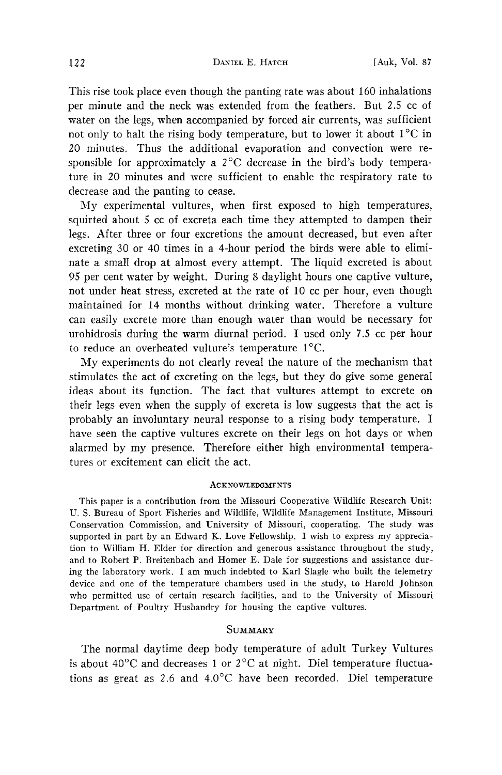**This rise took place even though the panting rate was about 160 inhalations per minute and the neck was extended from the feathers. But 2.5 cc of water on the legs, when accompanied by forced air currents, was sufficient**  not only to halt the rising body temperature, but to lower it about  $1^{\circ}$ C in **20 minutes. Thus the additional evaporation and convection were re**sponsible for approximately a 2<sup>o</sup>C decrease in the bird's body tempera**ture in 20 minutes and were sufficient to enable the respiratory rate to decrease and the panting to cease.** 

**My experimental vultures, when first exposed to high temperatures, squirted about 5 cc of excreta each time they attempted to dampen their legs. After three or four excretions the amount decreased, but even after excreting 30 or 40 times in a 4-hour period the birds were able to eliminate a small drop at almost every attempt. The liquid excreted is about 95 per cent water by weight. During 8 daylight hours one captive vulture, not under h'eat stress, excreted at the rate of 10 cc per hour, even though maintained for 14 months without drinking water. Therefore a vulture can easily excrete more than enough water than would be necessary for urohidrosis during the warm diurnal period. I used only 7.5 cc per hour**  to reduce an overheated vulture's temperature 1<sup>o</sup>C.

**My experiments do not clearly reveal the nature of the mechanism that**  stimulates the act of excreting on the legs, but they do give some general **ideas about its function. The fact that vultures attempt to excrete on their legs even when the supply of excreta is low suggests that the act is probably an involuntary neural response to a rising body temperature. I have seen the captive vultures excrete on their legs on hot days or when alarmed by my presence. Therefore either high environmental temperatures or excitement can elicit the act.** 

### **ACKNOWI,EDGMENTS**

This paper is a contribution from the Missouri Cooperative Wildlife Research Unit: **U.S. Bureau of Sport Fisheries and Wildlife, Wildlife Management Institute, Missouri Conservation Commission, and University of Missouri, cooperating. The study was supported in part by an Edward K. Love Fellowship. I wish to express my appreciation to William H. Elder for direction and generous assistance throughout the study, and to Robert P. Breitenbach and Homer E. Dale for suggestions and assistance during the laboratory work. I am much indebted to Karl Slagle who built the telemetry device and one of the temperature chambers used in the study, to Harold Johnson who permitted use of certain research facilities, and to the University of Missouri Department of Poultry Husbandry for housing the captive vultures.** 

### **SUMMARY**

**The normal daytime deep body temperature of adult Turkey Vultures**  is about  $40^{\circ}$ C and decreases 1 or  $2^{\circ}$ C at night. Diel temperature fluctuations as great as 2.6 and 4.0°C have been recorded. Diel temperature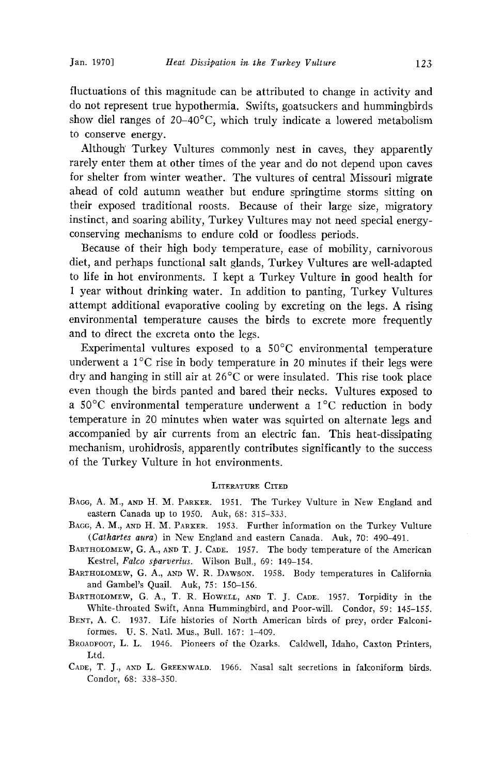**fluctuations of this magnitude can be attributed to change in activity and**  do not represent true hypothermia. Swifts, goatsuckers and hummingbirds show diel ranges of 20-40°C, which truly indicate a lowered metabolism **to conserve energy.** 

**Although Turkey Vultures commonly nest in caves, they apparently rarely enter them at other times of the year and do not depend upon caves for shelter from winter weather. The vultures of central Missouri migrate ahead of cold autumn weather but endure springtime storms sitting on their exposed traditional roosts. Because of their large size, migratory instinct, and soaring ability, Turkey Vultures may not need special energyconserving mechanisms to endure cold or foodless periods.** 

**Because of their high body temperature, ease of mobility, carnivorous diet, and perhaps functional salt glands, Turkey Vultures are well-adapted to life in hot environments. I kept a Turkey Vulture in good health for 1 year without drinking water. In addition to panting, Turkey Vultures attempt additional evaporative cooling by excreting on the legs. A rising environmental temperature causes the birds to excrete more frequently and to direct the excreta onto the legs.** 

Experimental vultures exposed to a 50<sup>°</sup>C environmental temperature underwent a 1<sup>°</sup>C rise in body temperature in 20 minutes if their legs were **dry and hanging in still air at 26øC or were insulated. This rise took place even though the birds panted and bared their necks. Vultures exposed to a 50øC environmental temperature underwent a IøC reduction in body temperature in 20 minutes wh'en water was squirted on alternate legs. and accompanied by air currents from an electric fan. This heat-dissipating mechanism, urohidrosis, apparently contributes significantly to the success of the Turkey Vulture in hot environments.** 

#### **LITERATURE CITED**

- BAGG, A. M., AND H. M. PARKER. 1951. The Turkey Vulture in New England and **eastern Canada up to 1950. Auk, 68: 315-333.**
- BAGG, A. M., AND H. M. PARKER. 1953. Further information on the Turkey Vulture **(Cathartes aura) in New England and eastern Canada. Auk, 70: 490-491.**
- BARTHOLOMEW, G. A., AND T. J. CADE. 1957. The body temperature of the American **Kestrel, Falco sparverius. Wilson Bull., 69: 149-154.**
- BARTHOLOMEW, G. A., AND W. R. DAWSON. 1958. Body temperatures in California **and Gambel's Quail. Auk, 75: 150-156.**
- BARTHOLOMEW, G. A., T. R. HOWELL, AND T. J. CADE. 1957. Torpidity in the **White-throated Swift, Anna Hummingbird, and Poor-will. Condor, 59: 145-155.**
- BENT, A. C. 1937. Life histories of North American birds of prey, order Falconiformes. U. S. Natl. Mus., Bull. 167: 1-409.
- BROADFOOT, L. L. 1946. Pioneers of the Ozarks. Caldwell, Idaho, Caxton Printers, **Ltd.**
- CADE, T. J., AND L. GREENWALD. 1966. Nasal salt secretions in falconiform birds. **Condor, 68: 338-350.**